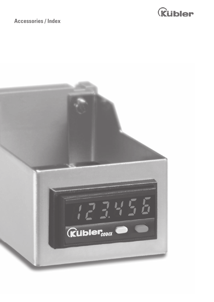

**Accessories / Index**

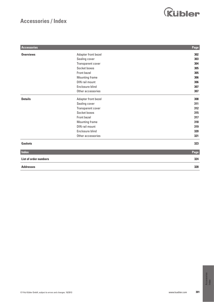## **Accessories / Index**



| <b>Accessories</b>           |                       | Page |
|------------------------------|-----------------------|------|
| <b>Overviews</b>             | Adapter front bezel   | 302  |
|                              | Sealing cover         | 303  |
|                              | Transparent cover     | 304  |
|                              | Socket boxes          | 305  |
|                              | Front bezel           | 305  |
|                              | <b>Mounting frame</b> | 306  |
|                              | DIN rail mount        | 306  |
|                              | Enclosure blind       | 307  |
|                              | Other accessories     | 307  |
| <b>Details</b>               | Adapter front bezel   | 308  |
|                              | Sealing cover         | 311  |
|                              | Transparent cover     | 312  |
|                              | Socket boxes          | 315  |
|                              | Front bezel           | 317  |
|                              | <b>Mounting frame</b> | 318  |
|                              | DIN rail mount        | 319  |
|                              | Enclosure blind       | 320  |
|                              | Other accessories     | 321  |
| <b>Gaskets</b>               |                       | 323  |
| Index                        |                       | Page |
| <b>List of order numbers</b> |                       | 324  |
| <b>Addresses</b>             |                       | 328  |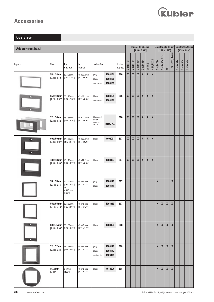

## **Overview**

| <b>Adapter front bezel</b> |                                                                       |                                                                            |                                        |                                           | counter 48 x 24 mm            | $[1.89 \times 0.94'']$ |              |              |              | counter 48 x 48 mm counter 96 x 48 mm<br>$[1.89 \times 1.89'']$ |              |              |              |                   |                                                             | $[3.78 \times 1.89'']$     |           |           |           |  |
|----------------------------|-----------------------------------------------------------------------|----------------------------------------------------------------------------|----------------------------------------|-------------------------------------------|-------------------------------|------------------------|--------------|--------------|--------------|-----------------------------------------------------------------|--------------|--------------|--------------|-------------------|-------------------------------------------------------------|----------------------------|-----------|-----------|-----------|--|
| Figure                     | Size                                                                  | for<br>cut-out                                                             | to<br>cut-out                          | Order-No.:                                |                               | Details<br>s. page     | Codix 13x    | Codix 14x    | Codix 52x    | Codix 53x                                                       | W 1x.5       | H 37, H 37.5 | Codix 71x    | 92x<br>Codix 90x, | $\frac{1}{2}$                                               | <b>HC77, HW66</b><br>H 57, | Codix 54x | Codix 56x | Codix 57x |  |
|                            | 53 x 28 mm<br>$[2.09 \times 1.10'']$                                  | $50 \times 25$ mm<br>$[1.97 \times 0.98'']$                                | 45 x 22.2 mm<br>$[1.77 \times 0.94'']$ | grey<br>black<br>anthracite               | T008164<br>T008165<br>T008180 | 306                    | $\pmb{\chi}$ | $\pmb{\chi}$ | $\pmb{\chi}$ | $\pmb{\chi}$                                                    | $\pmb{\chi}$ | $\mathbf x$  |              |                   |                                                             |                            |           |           |           |  |
| о                          | 56 x 40 mm<br>$[2.20 \times 1.57'']$                                  | 50 x 25 mm<br>$[1.97 \times 0.98'']$                                       | 45 x 22.2 mm<br>$[1.77 \times 0.94'']$ | black<br>anthracite                       | T008161<br>T008181            | 306                    | $\pmb{\chi}$ | $\pmb{\chi}$ | X            | X                                                               | $\pmb{\chi}$ | $\pmb{\chi}$ |              |                   |                                                             |                            |           |           |           |  |
|                            | 72 x 36 mm<br>$[2.83 \times 1.42'']$                                  | 68 x 33 mm<br>$[2.68 \times 1.30'']$                                       | 45 x 22.2 mm<br>$[1.77 \times 0.94'']$ | black and<br>silver<br>anodised<br>as set | 162704 Set                    | 306                    | $\pmb{\chi}$ | $\pmb{\chi}$ | $\pmb{\chi}$ | $\pmb{\chi}$                                                    | $\pmb{\chi}$ | $\pmb{\chi}$ |              |                   |                                                             |                            |           |           |           |  |
| o<br>o                     | 60 x 50 mm<br>$[2.36 \times 1.97'']$                                  | 54 x 29 mm<br>$[2.13 \times 1.14'']$                                       | 45 x 22.2 mm<br>$[1.77 \times 0.94'']$ | black                                     | N003001                       | 307                    | $\pmb{\chi}$ | $\pmb{\chi}$ | $\pmb{\chi}$ | $\pmb{\chi}$                                                    | $\pmb{\chi}$ | $\pmb{\chi}$ |              |                   |                                                             |                            |           |           |           |  |
|                            | 48 x 48 mm<br>$[1.89 \times 1.89'']$                                  | 45 x 45 mm<br>$[1.77 \times 1.77'']$                                       | 45 x 22.2 mm<br>$[1.77 \times 0.94'']$ | black                                     | T008883                       | 307                    | $\pmb{\chi}$ | X            | $\mathbf{x}$ | $\boldsymbol{x}$                                                | $\pmb{\chi}$ | $\pmb{\chi}$ |              |                   |                                                             |                            |           |           |           |  |
|                            | 55 x 55 mm<br>$[2.16 \times 2.16'']$                                  | $50 \times 50$ mm<br>$[1.97 \times 1.97'']$<br>or<br>ø 50.5 mm<br>[1.99''] | 45 x 45 mm<br>$[1.77 \times 1.77'']$   | grey<br>black                             | T008170<br>T008171            | 307                    |              |              |              |                                                                 |              |              | $\pmb{\chi}$ |                   |                                                             | $\mathbf x$                |           |           |           |  |
|                            | 55 x 55 mm $50 \times 50$ mm<br>$[2.16 \times 2.16'']$ [1.97 x 1.97"] |                                                                            | 45 x 45 mm<br>$[1.77 \times 1.77'']$   | black                                     | T008853                       | 307                    |              |              |              |                                                                 |              |              | $\mathsf{x}$ | $\mathsf{x}$      | $\mathsf{x}$                                                | $\pmb{\mathsf{X}}$         |           |           |           |  |
| О                          | 60 x 75 mm<br>$[2.36 \times 2.95'']$ $[1.97 \times 1.97'']$           | 50 x 50 mm                                                                 | 45 x 45 mm<br>$[1.77 \times 1.77'']$   | black                                     | T008860                       | 308                    |              |              |              |                                                                 |              |              | $\mathbf{x}$ | $\boldsymbol{x}$  | $\mathsf{X}$                                                | $\mathbf{x}$               |           |           |           |  |
|                            | 72 x 72 mm<br>$[2.83 \times 2.83'']$                                  | 68 x 68 mm<br>$[2.68 \times 2.68'']$                                       | 45 x 45 mm<br>$[1.77 \times 1.77'']$   | grey<br>black<br>mating clip              | T008176<br>T008177<br>T009420 | 308                    |              |              |              |                                                                 |              |              | $\mathbf{x}$ | $\pmb{\chi}$      | $\mathbf{x}$                                                | $\mathbf{x}$               |           |           |           |  |
|                            | ø 72 mm<br>[2.83"]                                                    | ø 60 mm<br>[2.36"]                                                         | 45 x 45 mm<br>$[1.77 \times 1.77'']$   | black                                     | N510226                       | 308                    |              |              |              |                                                                 |              |              | $\mathsf{X}$ | $\mathbf{x}$      | $\mathsf{x}$                                                | $\mathbf{x}$               |           |           |           |  |
| 302<br>www.kuebler.com     |                                                                       |                                                                            |                                        |                                           |                               |                        |              |              |              |                                                                 |              |              |              |                   | © Fritz Kübler GmbH, subject to errors and changes. 10/2013 |                            |           |           |           |  |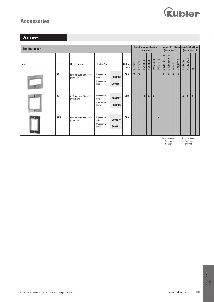

| <b>Overview</b>      |                 |                                                      |                                               |                    |                           |                  |                  |                                   |                  |              |              |                   |                                                   |              |              |              |                |                                                                        |
|----------------------|-----------------|------------------------------------------------------|-----------------------------------------------|--------------------|---------------------------|------------------|------------------|-----------------------------------|------------------|--------------|--------------|-------------------|---------------------------------------------------|--------------|--------------|--------------|----------------|------------------------------------------------------------------------|
| <b>Sealing cover</b> |                 |                                                      |                                               |                    |                           |                  |                  | for electromechanical<br>counters |                  |              |              |                   | $[1.89 \times 0.94^{\prime\prime}]$ <sup>1)</sup> |              |              |              |                | I counter 48 x 24 mm Icounter 48 x 48 mm<br>$[1.89 \times 1.89'']^{2}$ |
| Figure               | Type            | Description                                          | Order-No.:                                    |                    | <b>Details</b><br>s. page | <b>B</b> 1x.3x   | HB 2x.3x         | BVa 15.3x                         | HVa 15.3x        | MVs 16.3x    | MVs 13.1x    | 14x<br>Codix 13x, | 53x<br>Codix 52x,                                 | $W$ 1x.5     | H 37, H 37.5 | Codix 71x    | Codix 90x, 92x | 901                                                                    |
|                      | <b>K1</b>       | for front bezel 60 x 50 mm<br>$[2.36 \times 1.97'']$ | transparent/<br>grey<br>transparent/<br>black | G008300<br>G008301 | 309                       | $\boldsymbol{x}$ | $\boldsymbol{x}$ |                                   |                  |              |              | $\mathbf{x}$      | $\mathbf{x}$                                      | $\mathbf{x}$ | $\mathbf{x}$ |              |                |                                                                        |
| e.                   | <b>K2</b>       | for front bezel 75 x 60 mm<br>[2.95x 2.36"]          | transparent/<br>grey<br>transparent/<br>black | G008302<br>G008303 | 309                       |                  |                  | $\mathbf{x}$                      | $\boldsymbol{x}$ | $\mathbf{x}$ |              |                   |                                                   |              |              | $\mathbf{x}$ | $\mathbf{x}$   | $\mathbf{x}$                                                           |
|                      | KV <sub>3</sub> | for front bezel 39 x 68 mm<br>$[1.54 \times 2.68'']$ | transparent/<br>grey<br>transparent/<br>black | G008310<br>G008311 | 309                       |                  |                  |                                   |                  |              | $\mathbf{x}$ |                   |                                                   |              |              |              |                |                                                                        |

1) via adapter front bezel N003001 2) via adapter front bezel T008860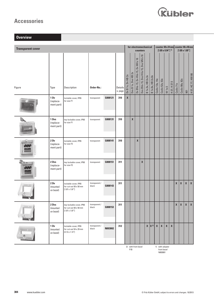

| <b>Transparent cover</b> |                                  |                                                                              |                       |         |                    |                    |                     | for electromechanical           | counters                           |                   |                          |                |                    | $[1.89 \times 0.94^{\prime\prime}]$ <sup>1)</sup> |              |                    |                    | counter 48 x 24 mm counter 48 x 48 mm<br>$[1.89 \times 1.89'']$ |                    |
|--------------------------|----------------------------------|------------------------------------------------------------------------------|-----------------------|---------|--------------------|--------------------|---------------------|---------------------------------|------------------------------------|-------------------|--------------------------|----------------|--------------------|---------------------------------------------------|--------------|--------------------|--------------------|-----------------------------------------------------------------|--------------------|
| Figure                   | Type                             | Description                                                                  | Order-No.:            |         | Details<br>s. page | Dv B 1x, Dv HB 2x  | Dvs B 1x, Dvs HB 2x | Dv BVa 15, Dv HVa 15, Dv MVs 16 | Dvs BVa 15, Dvs HVa 15, Dvs MVs 16 | B 1x.3x, HB 2x.3x | <b>B</b> 1x.0x, HB 2x.0x | Codix 13x, 14x | Codix 52x, 53x     | W1x.5                                             | H37, H37.5   | Codix 71x          | Codix 90x, 92x     | $\overline{5}$                                                  | H 57, HC 77, HW 66 |
| 11111                    | 1 Dv<br>(replace-<br>ment part)  | lockable cover, IP65<br>for size F1                                          | transparent           | G008121 | 310                | $\pmb{\mathsf{X}}$ |                     |                                 |                                    |                   |                          |                |                    |                                                   |              |                    |                    |                                                                 |                    |
| 33331                    | 1 Dvs<br>(replace-<br>ment part) | key lockable cover, IP65<br>for size F1                                      | transparent           | G008131 | 310                |                    | $\pmb{\chi}$        |                                 |                                    |                   |                          |                |                    |                                                   |              |                    |                    |                                                                 |                    |
|                          | 2 Dv<br>(replace-<br>ment part)  | lockable cover, IP65<br>for size F2                                          | transparent           | G008141 | 310                |                    |                     | $\pmb{\chi}$                    |                                    |                   |                          |                |                    |                                                   |              |                    |                    |                                                                 |                    |
| <b>Black</b>             | 2 Dvs<br>(replace-<br>ment part) | key lockable cover, IP65<br>for size F2                                      | transparent           | G008151 | 311                |                    |                     |                                 | $\pmb{\chi}$                       |                   |                          |                |                    |                                                   |              |                    |                    |                                                                 |                    |
| $\sim$                   | 2 Dv<br>(mounted<br>on bezel)    | lockable cover, IP65<br>for cut-out 50 x 50 mm<br>$[1.97 \times 1.97'']$     | transparent/<br>black | G008143 | 311                |                    |                     |                                 |                                    |                   |                          |                |                    |                                                   |              | X                  | $\pmb{\mathsf{X}}$ | $\boldsymbol{\mathsf{X}}$                                       | $\pmb{\chi}$       |
|                          | 2 Dvs<br>(mounted<br>on bezel)   | key lockable cover, IP65<br>for cut-out 50 x 50 mm<br>$[1.97 \times 1.97'']$ | transparent/<br>black | G008153 | 311                |                    |                     |                                 |                                    |                   |                          |                |                    |                                                   |              | $\pmb{\mathsf{X}}$ | $\pmb{\mathsf{X}}$ | $\pmb{\mathsf{X}}$                                              | $\pmb{\chi}$       |
|                          | 1 Dv<br>(mounted<br>on bezel)    | lockable cover, IP65<br>for cut-out 54 x 29 mm<br>$[2.13 \times 1.14'']$     | transparent/<br>black | N003002 | 312                |                    |                     |                                 |                                    |                   | $X   X^{2)}$             | $\pmb{\chi}$   | $\pmb{\mathsf{X}}$ | $\pmb{\mathsf{X}}$                                | $\pmb{\chi}$ |                    |                    |                                                                 |                    |

N003001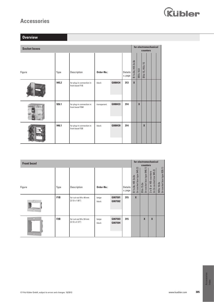

| <b>Overview</b>     |       |                                              |             |         |                    |                   |              |                   |                       |  |
|---------------------|-------|----------------------------------------------|-------------|---------|--------------------|-------------------|--------------|-------------------|-----------------------|--|
| <b>Socket boxes</b> |       |                                              |             |         |                    |                   |              | counters          | for electromechanical |  |
| Figure              | Type  | Description                                  | Order-No.:  |         | Details<br>s. page | B 1x.0x, HB 2x.0x | MVs 16.0     | 15<br>BVa 15, HVa |                       |  |
|                     | 945.2 | for plug-in connection in<br>front bezel F1B | black       | G008434 | 313                | $\mathbf x$       |              |                   |                       |  |
| وصاحبة<br>$-1$      | 926.1 | for plug-in connection in<br>front bezel F2M | transparent | G008433 | 314                |                   | $\mathbf{x}$ |                   |                       |  |
|                     | 946.1 | for plug-in connection in<br>front bezel F2B | black       | G008439 | 314                |                   |              | $\mathsf{X}$      |                       |  |

| <b>Front bezel</b> |                  |                                                  |                |                    |                    |                                                               | counters                                | for electromechanical                            |                                                |
|--------------------|------------------|--------------------------------------------------|----------------|--------------------|--------------------|---------------------------------------------------------------|-----------------------------------------|--------------------------------------------------|------------------------------------------------|
| Figure             | Type             | Description                                      | Order-No.:     |                    | Details<br>s. page | (in socket box type 945.2)<br>HB <sub>2x.0x</sub><br>B 1x.0x, | BVa 15.0x<br>(in socket box type 946.1) | 2 x B or HB counters<br>(in 2x socket box 945.2) | (in socket box type 926.1)<br><b>MVs 16.0x</b> |
| o<br>n             | F <sub>1</sub> B | for cut-out 54 x 49 mm<br>$[2.13 \times 1.93'']$ | beige<br>black | G007501<br>G007502 | 315                | $\boldsymbol{\chi}$                                           |                                         |                                                  |                                                |
| o                  | F <sub>2</sub> B | for cut-out 54 x 54 mm<br>$[2.13 \times 2.13'']$ | beige<br>black | G007503<br>G007504 | 315                |                                                               | X                                       | $\boldsymbol{x}$                                 |                                                |

Accessories Index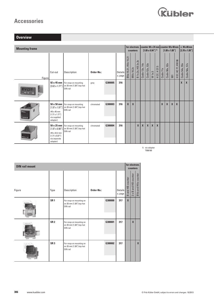

| <b>Overview</b>          |                                                                                                                  |                                                                           |            |         |                    |                      |                  |                   |                  |                                                   |              |                           |              |                   |                        |                    |                   |                                                                                               |  |
|--------------------------|------------------------------------------------------------------------------------------------------------------|---------------------------------------------------------------------------|------------|---------|--------------------|----------------------|------------------|-------------------|------------------|---------------------------------------------------|--------------|---------------------------|--------------|-------------------|------------------------|--------------------|-------------------|-----------------------------------------------------------------------------------------------|--|
| <b>Mounting frame</b>    |                                                                                                                  |                                                                           |            |         |                    |                      | counters         |                   |                  | $[1.89 \times 0.94^{\prime\prime}]$ <sup>1)</sup> |              |                           |              |                   | $[1.89 \times 1.89'']$ |                    |                   | for electrom. Counter 48 x 24 mm counter 48 x 48 mm L c. 96 x 48 mm<br>$[3.78 \times 1.89'']$ |  |
| Figure                   | Cut-out                                                                                                          | Description                                                               | Order-No.: |         | Details<br>s. page | BVa 15.21, HVa 15.21 | MVs 16.2x        | B 1x.2x, HB 2x.2x | Codix 13x, 14x   | 53x<br>Codix 52x,                                 | $W$ 1x.5     | H 37, H 37.5              | Codix 71x    | 92x<br>Codix 90x, | 501                    | H 57, HC 77, HW 66 | 55x<br>Codix 54x, | 57x<br>Codix 56x,                                                                             |  |
| 123456<br><b>CO TELL</b> | 92 x 45 mm<br>$[3.62 \times 1.77"]$                                                                              | For snap-on mounting<br>on 35 mm [1.38"] top-hat<br>DIN rail              | grey       | G300005 | 316                |                      |                  |                   |                  |                                                   |              |                           |              |                   |                        |                    | $\boldsymbol{X}$  | $\mathbf{x}$                                                                                  |  |
| 000                      | $[1.97 \times 1.97'']$<br>(45 x 45 mm)<br>$[1.77 \times 1.77'']$<br>via supplied<br>adapter)                     | 50 x 50 mm   For snap-on mounting<br>on 35 mm [1.38"] top-hat<br>DIN rail | chromated  | G300003 | 316                | $\mathbf{x}$         | $\boldsymbol{x}$ |                   |                  |                                                   |              |                           | $\mathbf{x}$ | $\mathbf{x}$      | $\mathbf{x}$           | $\mathbf{x}$       |                   |                                                                                               |  |
|                          | $50 \times 25$ mm<br>$[1.97 \times 0.98]$<br>(45 x 22.2 mm<br>$[1.77 \times 0.87'']$<br>via separate<br>adapter) | For snap-on mounting<br>on 35 mm [1.38"] top-hat<br>DIN rail              | chromated  | G300004 | 316                |                      |                  | $\boldsymbol{X}$  | $\boldsymbol{x}$ | $\boldsymbol{x}$                                  | $\mathbf{x}$ | $\boldsymbol{\mathsf{x}}$ |              |                   |                        |                    |                   |                                                                                               |  |

1) via adapter T008180

| <b>DIN rail mount</b> |                 |                                                                 |            |         |                    |                         | for electrom.<br>counters |                     |
|-----------------------|-----------------|-----------------------------------------------------------------|------------|---------|--------------------|-------------------------|---------------------------|---------------------|
| Figure                | Type            | Description                                                     | Order-No.: |         | Details<br>s. page | <b>B</b> and HB counter | 2 x B and HB counter      | BVa and HVa counter |
|                       | SR <sub>1</sub> | For snap-on mounting on<br>on 35 mm [1.38"] top-hat<br>DIN rail |            | G300000 | 317                | $\mathbf x$             |                           |                     |
|                       | SR <sub>2</sub> | For snap-on mounting on<br>on 35 mm [1.38"] top-hat<br>DIN rail |            | G300001 | 317                |                         | $\mathbf{x}$              |                     |
|                       | SR <sub>3</sub> | For snap-on mounting on<br>on 35 mm [1.38"] top-hat<br>DIN rail |            | G300002 | 317                |                         |                           | $\mathbf{x}$        |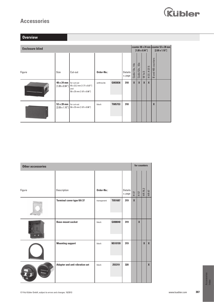

| <b>Overview</b>        |                                                    |                                                                 |            |         |                    |                |                      |              |                           |                                                                                                                                                                                                                                                                                                                                                                                                                                                                                                                                                                                                                                                                                                                    |                                                                     |
|------------------------|----------------------------------------------------|-----------------------------------------------------------------|------------|---------|--------------------|----------------|----------------------|--------------|---------------------------|--------------------------------------------------------------------------------------------------------------------------------------------------------------------------------------------------------------------------------------------------------------------------------------------------------------------------------------------------------------------------------------------------------------------------------------------------------------------------------------------------------------------------------------------------------------------------------------------------------------------------------------------------------------------------------------------------------------------|---------------------------------------------------------------------|
| <b>Enclosure blind</b> |                                                    |                                                                 |            |         |                    |                | $[1.89 \times 0.94]$ |              |                           |                                                                                                                                                                                                                                                                                                                                                                                                                                                                                                                                                                                                                                                                                                                    | counter 48 x 24 mm   counter 53 x 28 mm  <br>$[2.09 \times 1.10'']$ |
| Figure                 | Size                                               | Cut-out                                                         | Order-No.: |         | Details<br>s. page | Codix 13x, 14x | 53x<br>Codix 52x     | $W$ 1x.5     | H 37, H 37.5              | and HB counters<br>$\mathbf{\underline{\underline{\omega}}}% =\mathbf{\underline{\omega}}% =\mathbf{\underline{\omega}}% =\mathbf{\underline{\omega}}% =\mathbf{\underline{\omega}}% =\mathbf{\underline{\omega}}% =\mathbf{\underline{\omega}}% =\mathbf{\underline{\omega}}% =\mathbf{\underline{\omega}}% =\mathbf{\underline{\omega}}% =\mathbf{\underline{\omega}}% =\mathbf{\underline{\omega}}% =\mathbf{\underline{\omega}}% =\mathbf{\underline{\omega}}% =\mathbf{\underline{\omega}}% =\mathbf{\underline{\omega}}% =\mathbf{\underline{\omega}}% =\mathbf{\underline{\omega}}% =\mathbf{\underline{\omega}}% =\mathbf{\underline{\omega}}% =\mathbf{\underline{\omega}}% =\mathbf{\underline{\omega}}$ |                                                                     |
|                        | 48 x 24 mm   for cut-out<br>$[1.89 \times 0.94'']$ | 45 x 22.2 mm [1.77 x 0.87"]<br>and<br>50 x 25 mm [1.97 x 0.98"] | anthracite | G003836 | 318                | $\mathbf{x}$   | $\mathbf{x}$         | $\mathbf{x}$ | $\boldsymbol{\mathsf{x}}$ |                                                                                                                                                                                                                                                                                                                                                                                                                                                                                                                                                                                                                                                                                                                    |                                                                     |
|                        | $53 \times 28$ mm<br>$[2.09 \times 1.10'']$        | for cut-out<br>50 x 25 mm [1.97 x 0.98"]                        | black      | T005753 | 318                |                |                      |              |                           | $\mathbf x$                                                                                                                                                                                                                                                                                                                                                                                                                                                                                                                                                                                                                                                                                                        |                                                                     |

| <b>Other accessories</b> |                                       |             |         |                    |              | for counters |              |              |
|--------------------------|---------------------------------------|-------------|---------|--------------------|--------------|--------------|--------------|--------------|
| Figure                   | Description                           | Order-No.:  |         | Details<br>s. page | H37          | H 57         | HR 76.2      | HR 47        |
|                          | <b>Terminal cover type KA 37</b>      | transparent | T051687 | 319                | $\mathbf{x}$ |              |              |              |
|                          | <b>Base-mount socket</b>              | black       | G008040 | 319                |              | $\mathbf{x}$ |              |              |
|                          | <b>Mounting support</b>               | black       | N510199 | 319                |              |              | $\mathbf{x}$ | $\mathbf{x}$ |
| 5183191                  | <b>Adapter and anti-vibration set</b> | black       | 255319  | 320                |              |              |              | $\mathbf{X}$ |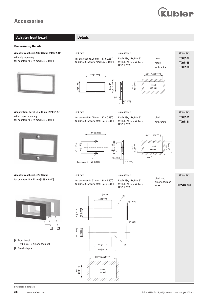



Dimensions in mm [inch]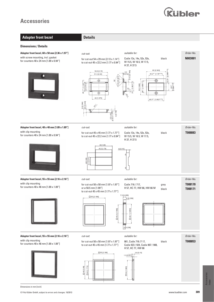



Accessories Index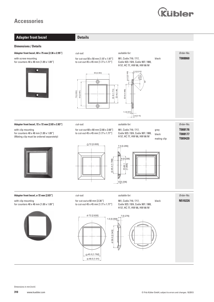

#### **Adapter front bezel Details**

*cut-out*:

#### **Dimensions / Details**

#### **Adapter front bezel, 60 x 75 mm [2.36 x 2.95"]**

with screw mounting for counters 48 x 48 mm [1.89 x 1.89"]



### for cut-out 50 x 50 mm [1.97 x 1.97"] to cut-out 45 x 45 mm [1.77 x 1.77"]



#### 901, Codix 716 / 717, Codix 923 / 924, Codix 907 / 908, H 57, HC 77, HW 66, HW 66 M

*suitable for:*



## *Order-No.* black **T008860**

*Order-No.*

*Order-No.*

#### **Adapter front bezel, 72 x 72 mm [2.83 x 2.83"]**

with clip mounting for counters 48 x 48 mm [1.89 x 1.89"] (Mating clip must be ordered separately) *cut-out*:

#### for cut-out 68 x 68 mm [2.68 x 2.68"] to cut-out 45 x 45 mm [1.77 x 1.77"]

# 901, Codix 716 / 717,

*suitable for:*

#### Codix 923 / 924, Codix 907 / 908, H 57, HC 77, HW 66, HW 66 M

grey **T008176** black **T008177** mating clip **T009420**



# 72 [2.835]



#### **Adapter front bezel, ø 72 mm [2.83"]**

with clip mounting for counters 48 x 48 mm [1.89 x 1.89"]



#### *cut-out*:

for cut-out ø 60 mm [2.36"] to cut-out 45 x 45 mm [1.77 x 1.77"]

#### *suitable for:*

black **N510226** 901, Codix 716 / 717, Codix 923 / 924, Codix 907 / 908, H 57, HC 77, HW 66, HW 66 M

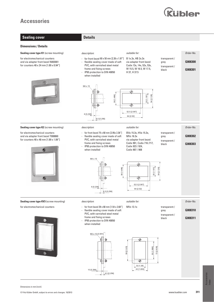



© Fritz Kübler GmbH, subject to errors and changes. 10/2013 www.kuebler.com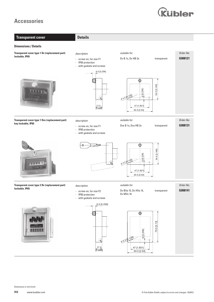

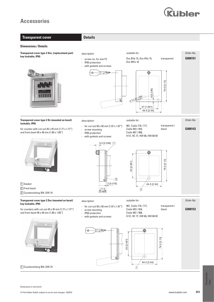

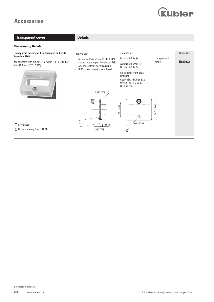

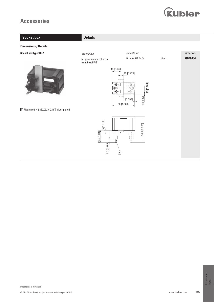



Dimensions in mm [inch]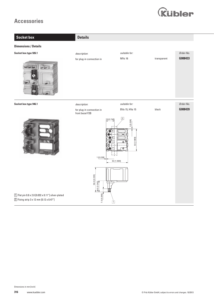

| <b>Socket box</b>                                                                               | <b>Details</b>                                                         |                                                |             |           |
|-------------------------------------------------------------------------------------------------|------------------------------------------------------------------------|------------------------------------------------|-------------|-----------|
| <b>Dimensions / Details</b>                                                                     |                                                                        |                                                |             |           |
| Socket box type 926.1                                                                           | description:                                                           | suitable for:                                  |             | Order-No. |
| $\overline{\mathcal{L}}$                                                                        | for plug-in connection in                                              | <b>MVs 16</b>                                  | transparent | G008433   |
| Socket box type 946.1                                                                           | description:                                                           | suitable for:                                  |             | Order-No. |
|                                                                                                 | for plug-in connection in<br>front bezel F2B                           | BVa 15, HVa 15                                 | black       | G008439   |
|                                                                                                 | 19 [0.748]<br>1 [0.039]<br>50 [1.969]                                  | $\boxed{2}$<br>[0.039]<br>50 [1.969]<br>♦<br>ক |             |           |
| 1 Flat pin 0.8 x 2.8 [0.032 x 0.11"] silver-plated<br>[2] Fixing strip 3 x 12 mm [0.12 x 0.47"] | 56.5 [2.225]<br>26.5 [1.043]<br>٠ŀ<br>Ł<br>7.5 [0.295]<br>$\mathbf{1}$ |                                                |             |           |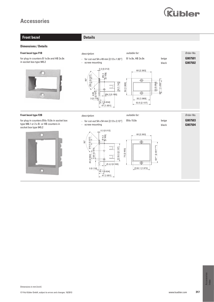

*Order-No.*

*Order-No.*

beige **G007503**

**Front bezel Details** 

*description*:

#### **Dimensions / Details**

#### **Front bezel type F1B**

for plug-in counters B 1x.0x and HB 2x.0x in socket box type 945.2



#### beige **G007501** - for cut-out  $54 \times 49$  mm  $[2.13 \times 1.93'']$ B 1x.0x, HB 2x.0x - screw mounting black **G007502**  $0.3$  [0.012] 60 [2.363] [0.169] Ø4.3 Ø8.3 [0.327] 90°  $\overline{\bigcirc}$ 08.3.10.3 38±0.1 [1.496±0.004 25 [0.984] 29 [1.142] 50 [1.969]  $496<sup>±</sup>$  $\epsilon$  $\overline{a}$ Z,  $\overline{\bigcirc}$  4.85 Ø4.2 [0.165] ile  $3 [0.118]$ 50 [1.969] 16.1 [0.634] 53.5 [2.107] 47 [1.851]

*suitable for:*

*suitable for:*

*description*:

## - for cut-out 54 x 54 mm [2.13 x 2.13"]

BVa 15.0x - screw mounting



## **Front bezel type F2B**

for plug-in counters BVa 15.0x in socket box type 946.1 or 2 x B- or HB counters in socket box type 945.2



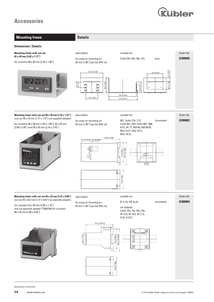

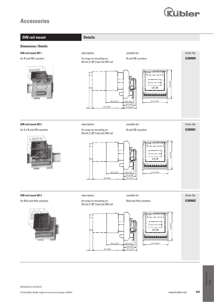



Dimensions in mm [inch]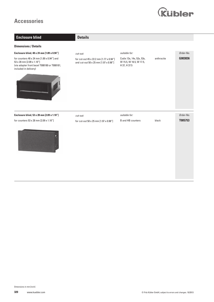

| <b>Enclosure blind</b>                                                                                                                                  | <b>Details</b>                                                                   |                                                                      |            |           |
|---------------------------------------------------------------------------------------------------------------------------------------------------------|----------------------------------------------------------------------------------|----------------------------------------------------------------------|------------|-----------|
| <b>Dimensions / Details</b>                                                                                                                             |                                                                                  |                                                                      |            |           |
| Enclosure blind, 48 x 24 mm [1.89 x 0.94"]                                                                                                              | cut-out:                                                                         | suitable for:                                                        |            | Order-No. |
| for counters 48 x 24 mm [1.89 x 0.94"] and<br>$53 \times 28$ mm [2.09 x 1.10"]<br>(via adapter front bezel T008180 or T008181;<br>included in delivery) | for cut-out 45 x 22.2 mm [1.77 x 0.94"]<br>and cut-out 50 x 25 mm [1.97 x 0.98"] | Codix 13x, 14x, 52x, 53x,<br>W 15.5, W 16.5, W 17.5,<br>H 37, H 37.5 | anthracite | G003836   |
|                                                                                                                                                         |                                                                                  |                                                                      |            |           |
| Enclosure blind, 53 x 28 mm [2.09 x 1.10"]                                                                                                              | cut-out.                                                                         | suitable for:                                                        |            | Order-No. |
| for counters 53 x 28 mm [2.09 x 1.10"]                                                                                                                  | for cut-out 50 x 25 mm [1.97 x 0.98"]                                            | <b>B</b> and HB counters                                             | black      | T005753   |

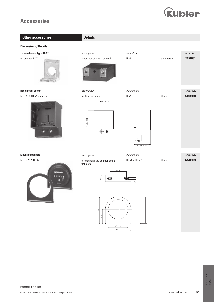

| <b>Other accessories</b>                                                                                                                               | <b>Details</b>                                                |                                      |             |           |
|--------------------------------------------------------------------------------------------------------------------------------------------------------|---------------------------------------------------------------|--------------------------------------|-------------|-----------|
| <b>Dimensions / Details</b>                                                                                                                            |                                                               |                                      |             |           |
| <b>Terminal cover type KA 37</b>                                                                                                                       | description:                                                  | suitable for:                        |             | Order-No. |
| for counter H 37                                                                                                                                       | 2-pcs. per counter required                                   | H 37                                 | transparent | T051687   |
| <b>Base mount socket</b>                                                                                                                               | description:                                                  | suitable for:                        |             | Order-No. |
| for H 57 / AH 57 counters                                                                                                                              | for DIN rail mount                                            | H 57                                 | black       | G008040   |
|                                                                                                                                                        | 61.5 [2.422]<br>$\overline{\oplus}$<br>$\overline{\bigoplus}$ | $\frac{19}{[0.748]}$<br>41.1 [1.618] |             |           |
| <b>Mounting support</b>                                                                                                                                | description:                                                  | suitable for:                        |             | Order-No. |
| for HR 76.2, HR 47<br>HR 76.2, HR 47<br>black<br>for mounting the counter onto a<br>flat plate<br>44,5<br><b>Rubler</b><br>17,8<br>Œ<br>누<br>5.6<br>13 |                                                               |                                      |             | N510199   |
|                                                                                                                                                        | 73.2<br>38,9<br>$\phi$ 53,3<br>69,1                           |                                      |             |           |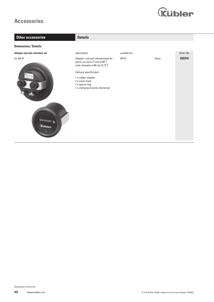

| <b>Other accessories</b>               | <b>Details</b>                                                                                                                                                                                                                   |               |       |           |
|----------------------------------------|----------------------------------------------------------------------------------------------------------------------------------------------------------------------------------------------------------------------------------|---------------|-------|-----------|
| <b>Dimensions / Details</b>            |                                                                                                                                                                                                                                  |               |       |           |
| <b>Adapter and anti-vibration set</b>  | description:                                                                                                                                                                                                                     | suitable for: |       | Order-No. |
| for HR 47<br>000009 h<br><b>Rubler</b> | Adapter- und anti-vibrationsset for<br>panel cut-out ø 71 mm [2.80"],<br>outer diameter ø 80 mm [3.15"]<br>Delivery specification:<br>1 x rubber adapter<br>2 x cover mask<br>1 x spacer ring<br>1 x clamping bracket, shortened | <b>HR47</b>   | black | 255319    |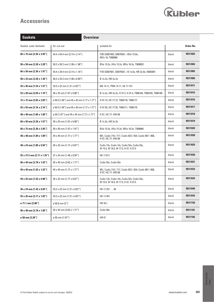

| <b>Overview</b><br><b>Gaskets</b>       |                                              |                                                                                     |       |           |  |
|-----------------------------------------|----------------------------------------------|-------------------------------------------------------------------------------------|-------|-----------|--|
| Gasket, outer diameter                  | for cut-out                                  | suitable for                                                                        |       | Order-No. |  |
| 60 x 75 mm [2.36 x 2.95"]               | 54.4 x 54.4 mm [2.14 x 2.14"]                | F2B (G007503, G007504) + BVa 15.0x,<br>MVs 16, T008860                              | black | N511003   |  |
| 58 x 58 mm [2.28 x 2.28"]               | $50.2 \times 50.2$ mm $[1.98 \times 1.98$ "] | BVa 15.2x, HVa 15.2x, MVs 16.2x, T008853                                            | black | N511004   |  |
| $60 \times 50$ mm [2.36 $\times$ 1.97"] | 54.4 x 29.4 mm [2.14 x 1.16"]                | F1B (G007501, G007502) + B 1x.0x, HB 2x.0x, N003001                                 | black | N511005   |  |
| $58 \times 33$ mm [2.28 x 1.30"]        | $50.2 \times 25.2$ mm [1.98 x 0.99"]         | B 1x.2x, HB 2x.2x                                                                   | black | N511006   |  |
| 39 x 40 mm [1.54 x 1.57"]               | $33.3 \times 22$ mm [1.31 x 0.87"]           | Mk 14.11, PMk 14.11, Hk 17.151                                                      | black | N511011   |  |
| 53 x 28 mm [2.09 x 1.10"]               | $50 \times 25$ mm [1.97 $\times$ 0.98"]      | B 1x.2x, HB 2x.2x, H 37.2, H 37.4, T008164, T008165, T008180                        | black | N511015   |  |
| 72 x 72 mm [2.83 x 2.83"]               | ø 50.5 [1.99"] and 45 x 45 mm [1.77 x 1.77"] | H 57.72, HC 77.72, T008176, T008177                                                 | black | N511016   |  |
| 55 x 55 mm [2.16 x 2.16"]               | ø 50.5 [1.99"] and 45 x 45 mm [1.77 x 1.77"] | H 57.55, HC 77.55, T008171, T008170                                                 | black | N511017   |  |
| 48 x 48 mm [1.89 x 1.89"]               | ø 50 [1.97"] and 45 x 45 mm [1.77 x 1.77"]   | H 57, HC 77, HW 66                                                                  | black | N511018   |  |
| $60 \times 50$ mm [2.36 $\times$ 1.97"] | $50 \times 25$ mm [1.97 x 0.98"]             | B 1x.3x, HB 2x.3x                                                                   | black | N511019   |  |
| $60 \times 75$ mm [2.36 x 2.95"]        | $50 \times 50$ mm $[1.97 \times 1.97'']$     | BVa 15.3x, HVa 15.3x, MVs 16.3x, T008860                                            | black | N511020   |  |
| 48 x 48 mm [1.89 x 1.89"]               | 45 x 45 mm [1.77 x 1.77"]                    | 901, Codix 716 / 717, Codix 923 / 924, Codix 907 / 908,<br>H 57, HC 77, HW 66       | black | N511028   |  |
| 48 x 24 mm [1.89 x 0.94"]               | 45 x 22 mm [1.77 x 0.87"]                    | Codix 13x, Codix 14x, Codix 52x, Codix 53x,<br>W 15.5, W 16.5, W 17.5, H 37, H 37.5 | black | N511029   |  |
| 55 x 31.5 mm [2.17 x 1.24"]             | $37 \times 24$ mm [1.46 x 0.94"]             | HK 17.611                                                                           | black | N511030   |  |
| 96 x 49 mm [3.78 x 1.93"]               | $92 \times 45$ mm [3.62 x 1.77"]             | Codix 54x, Codix 55x                                                                | black | N511031   |  |
| 49 x 49 mm [1.93 x 1.93"]               | 45 x 45 mm [1.77 x 1.77"]                    | 901, Codix 716 / 717, Codix 923 / 924, Codix 907 / 908,<br>H 57, HC 77, HW 66       | black | N511033   |  |
| 49 x 25 mm [1.93 x 0.98"]               | 45 x 22 mm [1.77 x 0.87"]                    | Codix 13x, Codix 14x, Codix 52x, Codix 53x,<br>W 15.5, W 16.5, W 17.5, H 37, H 37.5 | black | N511034   |  |
| $36 \times 24$ mm [1.42 x 0.94"]        | $33.3 \times 22$ mm [1.31 x 0.87"]           | HK 17.251  56                                                                       | black | N511040   |  |
| 55 x 26 mm [2.17 x 1.02"]               | 33.3 x 22 mm [1.31 x 0.87"]                  | HK 17.451                                                                           | black | N511043   |  |
| ø 71.1 mm [2.80"]                       | $\varnothing$ 50.8 mm [2"]                   | HR 76.1                                                                             | black | N511150   |  |
| 96 x 48 mm [3.78 x 1.89"]               | $92 \times 45$ mm [3.62 x 1.77"]             | Codix 56x                                                                           | black | N511181   |  |
| $\boldsymbol{0}$ 58 mm [2.28"]          | ø 50 mm [1.97"]                              | <b>HR47</b>                                                                         | black | N511182   |  |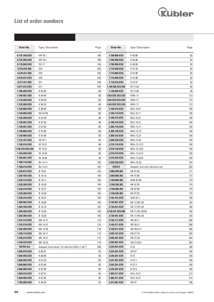## **List of order numbers**



| Order-No.         | Type / Description                             | Page | Order-No.         | Type / Description             | Page |
|-------------------|------------------------------------------------|------|-------------------|--------------------------------|------|
| 0.135.100.XXX     | HR 76.1                                        | 198  | 1.700.800.XXX     | K46.80                         | 82   |
| 0.135.200.XXX     | HR 76.2                                        | 198  | 1.700.900.XXX     | K46.90                         | 82   |
| 0.170.000.XXX     | <b>SH 17</b>                                   | 194  | 1.700.950.XXX     | K46.95                         | 82   |
| 0.570.010.305     | 570                                            | 235  | 1.710.200.XXX     | K 47.20                        | 82   |
| 0.570.011.E00     | 570                                            | 235  | 1.710.800.XXX     | K47.80                         | 82   |
| 0.570.012.EXX     | 570                                            | 235  | 1.710.900.XXX     | K 47.90                        | 82   |
| 0.571.011.E00     | 571                                            | 246  | 1.710.910.XXX     | K47.91                         | 82   |
| 0.571.012.EXX     | 571                                            | 246  | 1.740.500.XXX.550 | W 17.50                        | 99   |
| 1.100.200.XXX     | K 04.20                                        | 88   | 1.740.900.XXX     | W 17.90                        | 99   |
| 1.100.401.XXX     | K 04.40                                        | 88   | 1.943.XXX.XXX.XXX | <b>KWh 17</b>                  | 113  |
| 1.110.200.XXX     | K 05.20                                        | 88   | 1.944.XXX.XXX.XXX | <b>KWh 17</b>                  | 113  |
| 1.120.200.XXX     | K 06.20                                        | 88   | 1.945.XXX.XXX.XXX | <b>KWh 17</b>                  | 113  |
| 1.120.800.XXX     | K 06.80                                        | 88   | 2.100.010.XXX     | BVa 15.01                      | 146  |
| 1.130.000.XXX     | AK 07.00                                       | 88   | 2.100.110.XXX     | BVa 15.11                      | 146  |
| 1.130.200.XXX     | K 07.20                                        | 88   | 2.100.210.XXX     | BVa 15.21                      | 146  |
| 1.130.401.XXX     | K 07.40                                        | 88   | 2.100.310.XXX     | BVa 15.31                      | 146  |
| 1.130.501.XXX     | K 07.50                                        | 88   | 2.300.110.XXX     | MVs 13.11                      | 150  |
| 1.130.800.XXX     | K 07.80                                        | 88   | 2.300.130.XXX     | MVs 13.13                      | 150  |
| 1.130.900.XXX     | K 07.90                                        | 88   | 2.300.210.XXX     | MVs 13.21                      | 150  |
| 1.132.101.XXX     | SK 07.1                                        | 94   | 2.300.230.XXX     | MVs 13.23                      | 150  |
| 1.150.210.XXX     | W 15.21                                        | 96   | 2.310.110.XXX     | MVs 13.11/2                    | 150  |
| 1.150.510.XXX.550 | W 15.51                                        | 96   | 2.310.130.XXX     | MVs 13.13/2                    | 150  |
| 1.160.200.XXX     | W 16.20                                        | 99   | 2.310.210.XXX     | MVs 13.21/2                    | 150  |
| 1.160.601.XXX     | W 16.60                                        | 99   | 2.310.230.XXX     | MVs 13.23/2                    | 150  |
| 1.180.110.XXX     | Bk 14.11                                       | 102  | 2.320.230.XXX     | MVs 16.23                      | 153  |
| 1.180.210.XXX     | Bk 14.21                                       | 102  | 255319            | Adapter and anti-vibration set | 322  |
| 1.230.012.XXX     | B 16.01                                        | 104  | 3.060.200.383     | HK 47.20                       | 177  |
| 1.230.100.XXX     | B 16.10                                        | 104  | 3.060.800.383     | HK 47.80                       | 177  |
| 1.230.110.XXX     | B 16.11                                        | 104  | 3.100.000.383     | AHK 07.00                      | 179  |
| 1.230.200.XXX     | B 16.20                                        | 104  | 3.100.200.383     | HK 07.20                       | 179  |
| 1.230.210.XXX     | B 16.21                                        | 104  | 3.100.900.383     | HK 07.90                       | 179  |
| 1.230.300.XXX     | B 16.30                                        | 104  | 3.100.920.383     | HK 07.92                       | 179  |
| 1.230.310.XXX     | B 16.31                                        | 104  | 3.102.101.XXX     | <b>SHK 07.1</b>                | 192  |
| 1.260.002.XXX     | B 18.00                                        | 104  | 3.130.051.XXX     | HK 17.051.39                   | 182  |
| 1.260.100.XXX     | B 18.10                                        | 104  | 3.130.251.XXX     | HK 17.251.39                   | 182  |
| 1.260.200.XXX     | B 18.20                                        | 104  | 3.130.251.XXX.056 | HK 17.251.39.56                | 182  |
| 1.260.300.XXX     | B 18.30                                        | 104  | 3.130.451.XXX     | HK 17.451.39                   | 182  |
| 1.310.110.XXX     | Mk 14.11                                       | 110  | 3.160.111.XXX     | HB 26.11                       | 200  |
| 1.310.210.XXX     | Mk 14.21                                       | 110  | 3.160.211.XXX     | HB 26.21                       | 200  |
| 1.330.200.XXX     | Mk 16.20                                       | 110  | 3.165.011.XXX     | HB 26.01.3                     | 200  |
| 1.340.110.XXX     | Mk 16.11                                       | 110  | 3.200.101.XXX     | HB 27.10                       | 204  |
| 1.340.210.XXX     | Mk 16.21                                       | 110  | 3.200.201.XXX     | HB 27.20                       | 204  |
| 1.340.230.XXX     | Mk 16.23                                       | 110  | 3.205.001.XXX     | HB 27.00.3                     | 204  |
| 162704 Set        | Adapter front bezel, 72 x 36 mm [2.83 x 1.42"] | 308  | 3.220.401.XXX     | H 57                           | 189  |
| 1.650.910.XXX     | K 66.91                                        | 85   | 3.223.401.XXX     | AH 57                          | 189  |
| 1.650.950.XXX     | K 66.95                                        | 85   | 3.240.201.XXX     | H 37                           | 185  |
| 1.660.200.XXX     | K 67.20                                        | 85   | 3.241.201.XXX     | H 37.1                         | 185  |
| 1.660.800.XXX     | K 67.80                                        | 85   | 3.242.201.XXX     | H 37.2                         | 185  |
| 1.660.900.XXX     | K 67.90                                        | 85   | 3.245.201.XXX     | H 37.5                         | 185  |
| 1.660.910.XXX     | K 67.91                                        | 85   | 3.300.211.XXX     | HVa 15.21                      | 212  |
| 1.660.950.XXX     | K 67.95                                        | 85   | 3.300.311.XXX     | HVa 15.31                      | 212  |
| 1.700.200.XXX     | K 46.20                                        | 82   | 3.474.901.XXX     | <b>HR47</b>                    | 196  |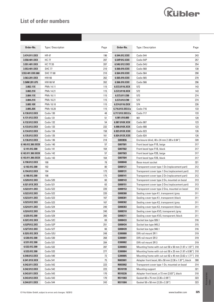## **List of order numbers**



| Order-No.          | Type / Description | Page | Order-No.        | Type / Description                                        | Page |
|--------------------|--------------------|------|------------------|-----------------------------------------------------------|------|
| 3.474.911.XXX      | HR 47              | 196  | 6.544.012.XXX    | Codix 544                                                 | 243  |
| 3.550.401.XXX      | <b>HC 77</b>       | 207  | 6.54P.012.XXX    | Codix 54P                                                 | 257  |
| 3.551.401.XXX      | HC 77.55           | 207  | 6.54U.012.XXX    | Codix 54U                                                 | 254  |
| 3.553.401.XXX      | <b>SHC 77</b>      | 210  | 6.560.010.XXX    | Codix 560                                                 | 138  |
| 3.553.401.XXX.060  | SHC 77.60          | 210  | 6.564.010.XXX    | Codix 564                                                 | 290  |
| 3.563.201.XXX      | <b>HW 66</b>       | 262  | 6.565.010.XXX    | Codix 565                                                 | 270  |
| 3.56M.201.075      | HW 66 M            | 262  | 6.566.010.XXX    | Codix 566                                                 | 296  |
| 3.802.11X          | PMk 14.11          | 115  | 6.572.0116.XXX   | 572                                                       | 143  |
| 3.802.21X          | PMk 14.21          | 115  | 6.572.0118.XXX   | 572                                                       | 143  |
| 3.804.11X          | PMk 16.11          | 115  | 6.573.011.E00    | 573                                                       | 274  |
| 3.804.21X          | PMk 16.21          | 115  | 6.573.012.E90    | 573                                                       | 274  |
| 3.805.10X          | PMk 18.10          | 115  | 6.574.0116.DXX   | 574                                                       | 226  |
| 3.805.20X          | PMk 18.20          | 115  | 6.716.01X.XXX.Ex | Codix 716                                                 | 133  |
| 6.130.012.XXX      | Codix 130          | 48   | 6.717.01X.XXX.Ex | Codix 717                                                 | 133  |
| 6.131.012.XXX      | Codix 131          | 51   | 6.901.010.800    | 901                                                       | 120  |
| 6.132.012.XXX      | Codix 132          | 54   | 6.907.010X.XXX   | Codix 907                                                 | 123  |
| 6.133.012.XXX      | Codix 133          | 232  | 6.908.010X.XXX   | Codix 908                                                 | 123  |
| 6.134.012.XXX      | Codix 134          | 158  | 6.923.01XX.XXX   | Codix 923                                                 | 126  |
| 6.135.012.XXX      | Codix 135          | 161  | 6.924.01XX.XXX   | Codix 924                                                 | 126  |
| 6.136.012.XXX      | Codix 136          | 218  | G003836          | Enclosure blind, 48 x 24 mm [1.89 x 0.94"]                | 320  |
| 6.140.012.300.XXXX | Codix 140          | 57   | G007501          | Front bezel type F1B, beige                               | 317  |
| 6.141.012.300      | Codix 141          | 164  | G007502          | Front bezel type F1B, black                               | 317  |
| 6.142.011.300.XXXX | Codix 142          | 57   | G007503          | Front bezel type F2B, beige                               | 317  |
| 6.143.011.300.XXXX | Codix 143          | 164  | G007504          | Front bezel type F2B, black                               | 317  |
| 6.190.012.XXX      | 190                | 78   | G008040          | Base mount socket                                         | 321  |
| 6.192.012.300      | 192                | 80   | G008121          | Transparent cover type 1 Dv (replacement part)            | 312  |
| 6.194.012.XXX      | 194                | 173  | G008131          | Transparent cover type 1 Dvs (replacement part)           | 312  |
| 6.198.012.300      | 198                | 175  | G008141          | Transparent cover type 2 Dv (replacement part)            | 312  |
| 6.520.012.3XX      | Codix 520          | 60   | G008143          | Transparent cover type 2 Dv, mounted on bezel             | 313  |
| 6.521.01X.3XX      | Codix 521          | 63   | G008151          | Transparent cover type 2 Dvs (replacement part)           | 313  |
| 6.522.011.3XX      | Codix 522          | 220  | G008153          | Transparent cover type 2 Dvs, mounted on bezel            | 313  |
| 6.522.012.3XX      | Codix 522          | 220  | G008300          | Sealing cover type K1, transparent/grey                   | 311  |
| 6.523.011.3XX      | Codix 523          | 167  | G008301          | Sealing cover type K1, transparent /black                 | 311  |
| 6.523.012.3XX      | Codix 523          | 167  | G008302          | Sealing cover type K2, transparent /grey                  | 311  |
| 6.524.011.3XX      | Codix 524          | 240  | G008303          | Sealing cover type K2, transparent/black                  | 311  |
| 6.524.012.3XX      | Codix 524          | 240  | G008310          | Sealing cover type KV3, transparent/grey                  | 311  |
| 6.529.012.300      | Codix 529          | 266  | G008311          | Sealing cover type KV3, transparent /black                | 311  |
| 6.52C.012.3XX      | Codix 52C          | 69   | G008433          | Socket box type 926.1                                     | 316  |
| 6.52P.012.3XX      | Codix 52P          | 251  | G008434          | Socket box type 945.2                                     | 315  |
| 6.52T.012.3XX      | Codix 52T          | 66   | G008439          | Socket box type 946.1                                     | 316  |
| 6.52U.012.3XX      | Codix 52U          | 248  | G300000          | DIN rail mount SR 1                                       | 319  |
| 6.530.012.300      | Codix 530          | 268  | G300001          | DIN rail mount SR 2                                       | 319  |
| 6.531.012.300      | Codix 531          | 284  | G300002          | DIN rail mount SR 3                                       | 319  |
| 6.532.012.300      | Codix 532          | 287  | G300003          | Mounting frame with cut-out 50 x 50 mm [1.97 x 1.97"] 318 |      |
| 6.533.012.300      | Codix 533          | 277  | G300004          | Mounting frame with cut-out 50 x 25 mm [1.97 x 0.98"] 318 |      |
| 6.540.012.XXX      | Codix 540          | 72   | G300005          | Mounting frame with cut-out 92 x 45 mm [3.62 x 1.77"] 318 |      |
| 6.541.01X.XXX      | Codix 541          | 75   | N003001          | Adapter front bezel, 60 x 50 mm [2.36 x 1.97"], black     | 308  |
| 6.542.011.XXX      | Codix 542          | 223  | N003002          | Transparent cover type 1 Dv, mounted on bezel             | 314  |
| 6.542.012.XXX      | Codix 542          | 223  | N510199          | Mounting support                                          | 321  |
| 6.543.011.XXX      | Codix 543          | 170  | N510226          | Adapter front bezel, ø 72 mm [2.83"], black               | 310  |
| 6.543.012.XXX      | Codix 543          | 170  | N511003          | Gasket 60 x 75 mm [2.36 x 2.95"]                          | 323  |
| 6.544.011.XXX      | Codix 544          | 243  | N511004          | Gasket 58 x 58 mm [2.28 x 2.28"]                          | 323  |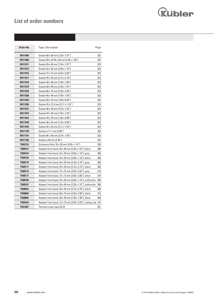## **List of order numbers**



| Order-No.      | Type / Description                                              | Page |
|----------------|-----------------------------------------------------------------|------|
| N511005        | Gasket 60 x 50 mm [2.36 x 1.97"]                                | 323  |
| N511006        | Gasket 58 x 33 58 x 58 mm [2.28 x 1.30"]                        | 323  |
| N511011        | Gasket 39 x 40 mm [1.54 x 1.57"]                                | 323  |
| N511015        | Gasket 53 x 28 mm [2.09 x 1.10"]                                | 323  |
| N511016        | Gasket 72 x 72 mm [2.83 x 2.83"]                                | 323  |
| N511017        | Gasket 55 x 55 mm [2.16 x 2.16"]                                | 323  |
| N511018        | Gasket 48 x 48 mm [1.89 x 1.89"]                                | 323  |
| N511019        | Gasket 60 x 50 mm [2.36 x 1.97"]                                | 323  |
| N511020        | Gasket 60 x 75 mm [2.36 x 2.95"]                                | 323  |
| N511028        | Gasket 48 x 48 mm [1.89 x 1.89"]                                | 323  |
| N511029        | Gasket 48 x 24 mm [1.89 x 0.94"]                                | 323  |
| N511030        | Gasket 55 x 31,5 mm [2.17 x 1.24"]                              | 323  |
| N511031        | Gasket 96 x 49 mm [3.78 x 1.93"]                                | 323  |
| N511033        | Gasket 49 x 49 mm [1.93 x 1.93"]                                | 323  |
| N511034        | Gasket 49 x 25 mm [1.93 x 0.98"]                                | 323  |
| N511040        | Gasket 36 x 24 mm [1.42 x 0.94"]                                | 323  |
| N511043        | Gasket 55 x 26 mm [2.17 x 1.02"]                                | 323  |
| N511150        | Gasket ø 71.1 mm [2.80"]                                        | 323  |
| N511181        | Gasket 96 x 48 mm [3.78 x 1.89"]                                | 323  |
| N511182        | Gasket ø 58 mm [2.28"]                                          | 323  |
| T005753        | Enclosure blind, 53 x 28 mm [2.09 x 1.10"]                      | 320  |
| T008161        | Adapter front bezel, 56 x 40 mm [2.20 x 1.57"], black           | 308  |
| T008164        | Adapter front bezel, 53 x 28 mm [2.09 x 1.10"], grey            | 308  |
| T008165        | Adapter front bezel, 53 x 28 mm [2.09 x 1.10"], black           | 308  |
| <b>T008170</b> | Adapter front bezel, 55 x 55 mm [2.16 x 2.16"], grey            | 309  |
| T008171        | Adapter front bezel, 55 x 55 mm [2.16 x 2.16"], black           | 309  |
| T008176        | Adapter front bezel, 72 x 72 mm [2.83 x 2.83"], grey            | 310  |
| T008177        | Adapter front bezel, 72 x 72 mm [2.83 x 2.83"], black           | 310  |
| <b>T008180</b> | Adapter front bezel, 53 x 28 mm [2.09 x 1.10"], anthracite      | 308  |
| T008181        | Adapter front bezel, 56 x 40 mm [2.20 x 1.57"], anthracite      | 308  |
| T008853        | Adapter front bezel, 55 x 55 mm [2.16 x 2.16"], black           | 309  |
| <b>T008860</b> | Adapter front bezel, 60 x 75 mm [2.36 x 2.95"], black           | 310  |
| T008883        | Adapter front bezel, 48 x 48 mm [1.89 x 1.89"], black           | 309  |
| <b>T009420</b> | Adapter front bezel, 72 x 72 mm [2.83 x 2.83"], mating clip 310 |      |
| T051687        | Terminal cover type KA 37                                       | 321  |